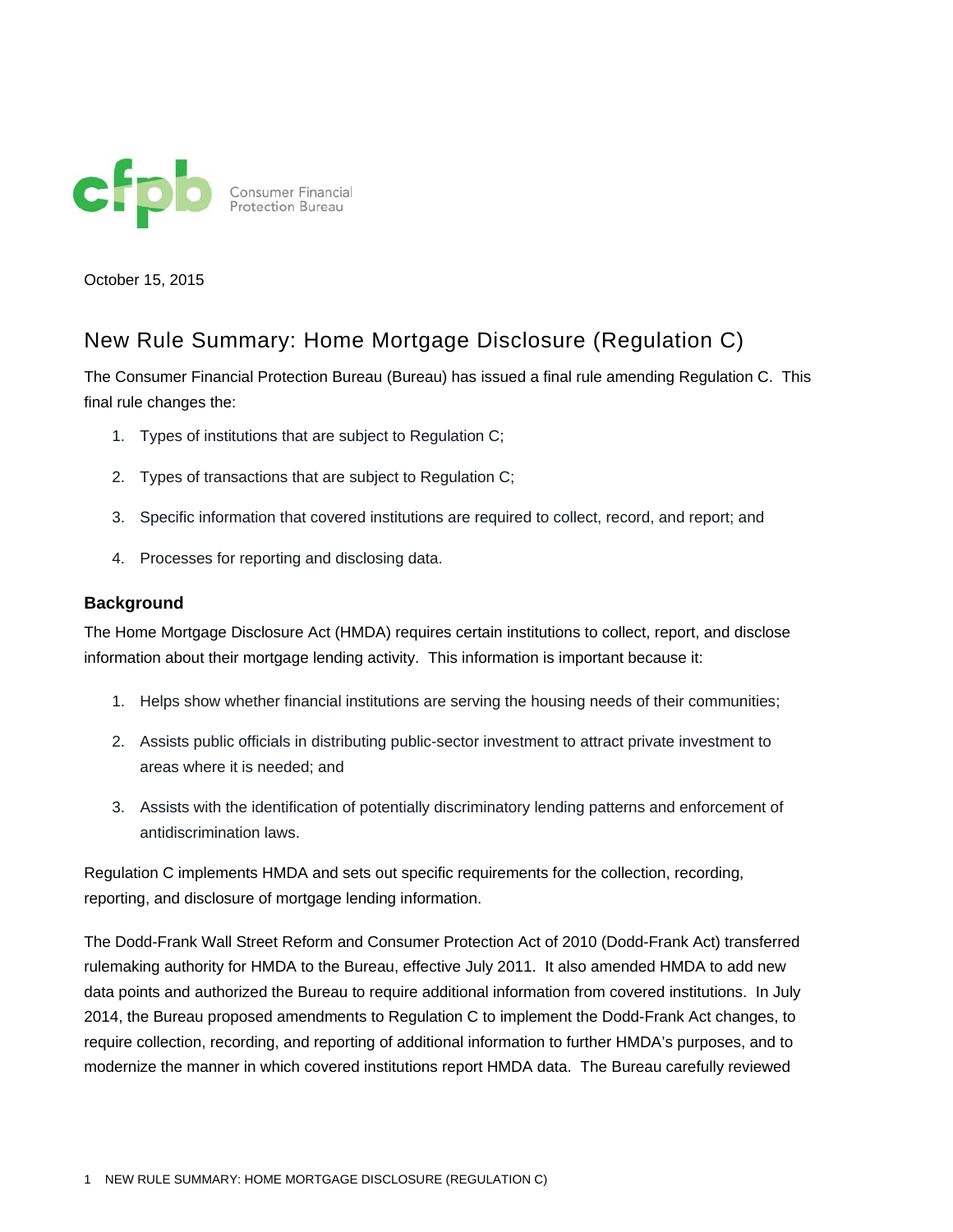

October 15, 2015

# New Rule Summary: Home Mortgage Disclosure (Regulation C)

The Consumer Financial Protection Bureau (Bureau) has issued a final rule amending Regulation C. This final rule changes the:

- 1. Types of institutions that are subject to Regulation C;
- 2. Types of transactions that are subject to Regulation C;
- 3. Specific information that covered institutions are required to collect, record, and report; and
- 4. Processes for reporting and disclosing data.

### **Background**

The Home Mortgage Disclosure Act (HMDA) requires certain institutions to collect, report, and disclose information about their mortgage lending activity. This information is important because it:

- 1. Helps show whether financial institutions are serving the housing needs of their communities;
- 2. Assists public officials in distributing public-sector investment to attract private investment to areas where it is needed; and
- 3. Assists with the identification of potentially discriminatory lending patterns and enforcement of antidiscrimination laws.

Regulation C implements HMDA and sets out specific requirements for the collection, recording, reporting, and disclosure of mortgage lending information.

The Dodd-Frank Wall Street Reform and Consumer Protection Act of 2010 (Dodd-Frank Act) transferred rulemaking authority for HMDA to the Bureau, effective July 2011. It also amended HMDA to add new data points and authorized the Bureau to require additional information from covered institutions. In July 2014, the Bureau proposed amendments to Regulation C to implement the Dodd-Frank Act changes, to require collection, recording, and reporting of additional information to further HMDA's purposes, and to modernize the manner in which covered institutions report HMDA data. The Bureau carefully reviewed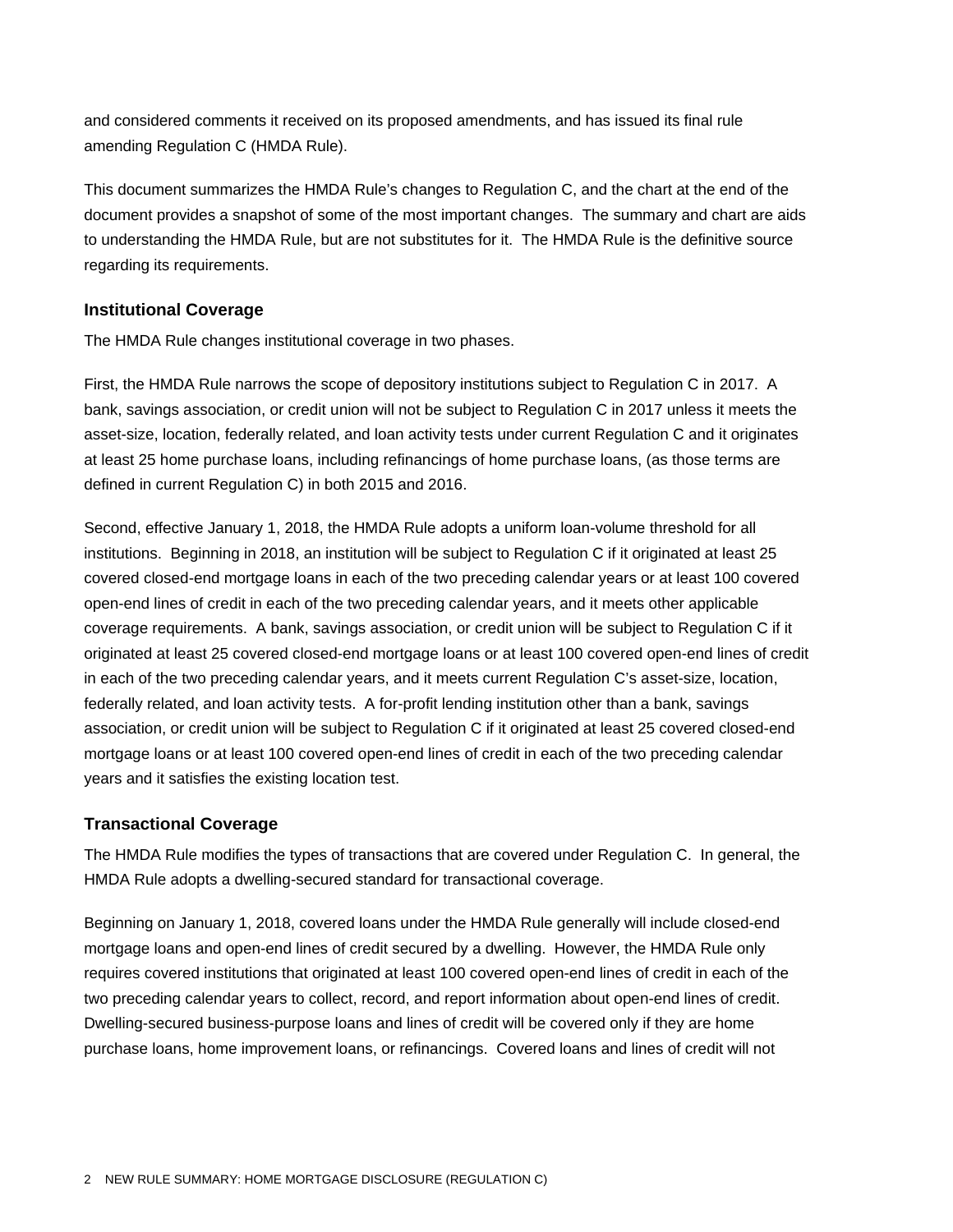and considered comments it received on its proposed amendments, and has issued its final rule amending Regulation C (HMDA Rule).

This document summarizes the HMDA Rule's changes to Regulation C, and the chart at the end of the document provides a snapshot of some of the most important changes. The summary and chart are aids to understanding the HMDA Rule, but are not substitutes for it. The HMDA Rule is the definitive source regarding its requirements.

## **Institutional Coverage**

The HMDA Rule changes institutional coverage in two phases.

First, the HMDA Rule narrows the scope of depository institutions subject to Regulation C in 2017. A bank, savings association, or credit union will not be subject to Regulation C in 2017 unless it meets the asset-size, location, federally related, and loan activity tests under current Regulation C and it originates at least 25 home purchase loans, including refinancings of home purchase loans, (as those terms are defined in current Regulation C) in both 2015 and 2016.

Second, effective January 1, 2018, the HMDA Rule adopts a uniform loan-volume threshold for all institutions. Beginning in 2018, an institution will be subject to Regulation C if it originated at least 25 covered closed-end mortgage loans in each of the two preceding calendar years or at least 100 covered open-end lines of credit in each of the two preceding calendar years, and it meets other applicable coverage requirements. A bank, savings association, or credit union will be subject to Regulation C if it originated at least 25 covered closed-end mortgage loans or at least 100 covered open-end lines of credit in each of the two preceding calendar years, and it meets current Regulation C's asset-size, location, federally related, and loan activity tests. A for-profit lending institution other than a bank, savings association, or credit union will be subject to Regulation C if it originated at least 25 covered closed-end mortgage loans or at least 100 covered open-end lines of credit in each of the two preceding calendar years and it satisfies the existing location test.

# **Transactional Coverage**

The HMDA Rule modifies the types of transactions that are covered under Regulation C. In general, the HMDA Rule adopts a dwelling-secured standard for transactional coverage.

Beginning on January 1, 2018, covered loans under the HMDA Rule generally will include closed-end mortgage loans and open-end lines of credit secured by a dwelling. However, the HMDA Rule only requires covered institutions that originated at least 100 covered open-end lines of credit in each of the two preceding calendar years to collect, record, and report information about open-end lines of credit. Dwelling-secured business-purpose loans and lines of credit will be covered only if they are home purchase loans, home improvement loans, or refinancings. Covered loans and lines of credit will not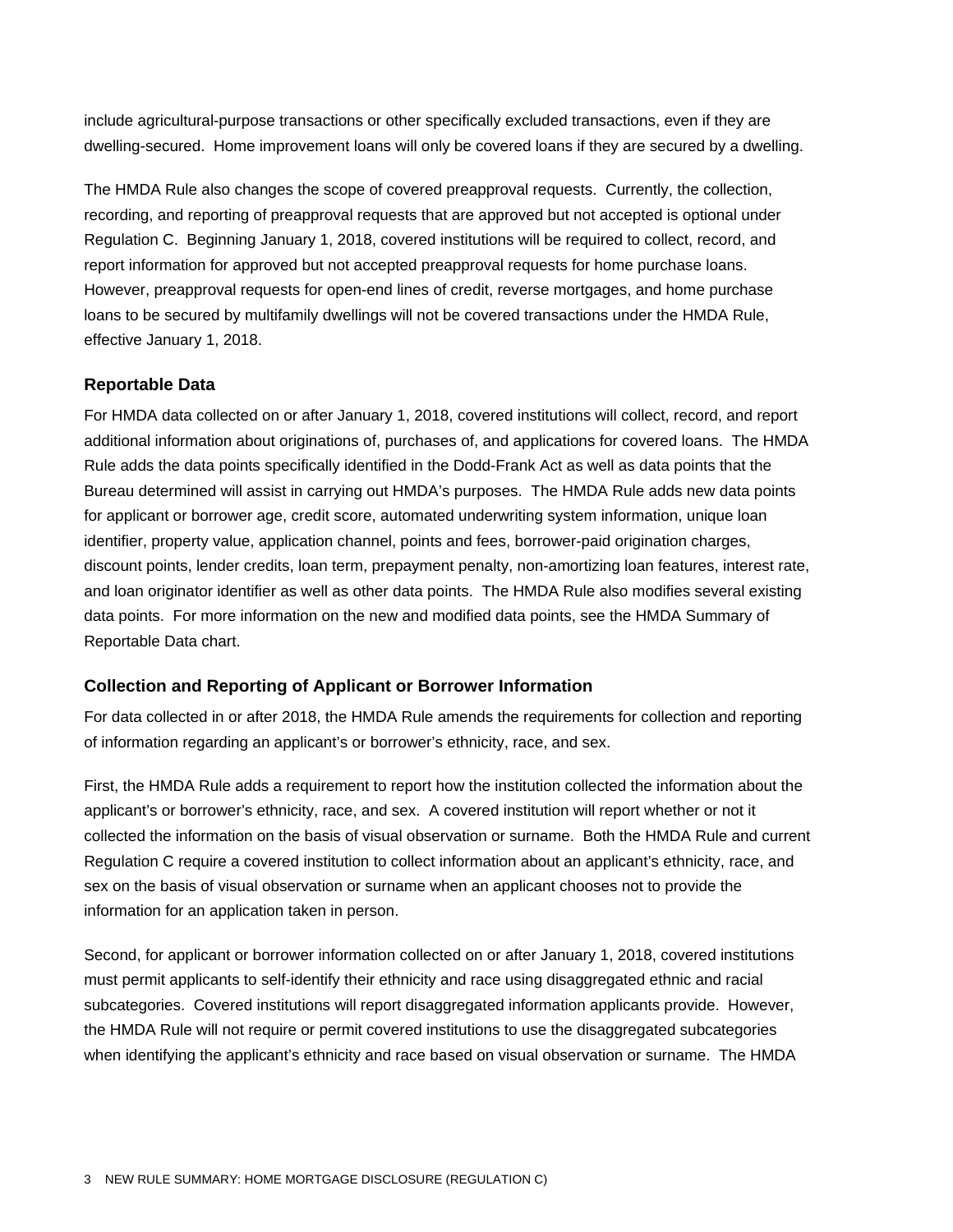include agricultural-purpose transactions or other specifically excluded transactions, even if they are dwelling-secured. Home improvement loans will only be covered loans if they are secured by a dwelling.

The HMDA Rule also changes the scope of covered preapproval requests. Currently, the collection, recording, and reporting of preapproval requests that are approved but not accepted is optional under Regulation C. Beginning January 1, 2018, covered institutions will be required to collect, record, and report information for approved but not accepted preapproval requests for home purchase loans. However, preapproval requests for open-end lines of credit, reverse mortgages, and home purchase loans to be secured by multifamily dwellings will not be covered transactions under the HMDA Rule, effective January 1, 2018.

# **Reportable Data**

For HMDA data collected on or after January 1, 2018, covered institutions will collect, record, and report additional information about originations of, purchases of, and applications for covered loans. The HMDA Rule adds the data points specifically identified in the Dodd-Frank Act as well as data points that the Bureau determined will assist in carrying out HMDA's purposes. The HMDA Rule adds new data points for applicant or borrower age, credit score, automated underwriting system information, unique loan identifier, property value, application channel, points and fees, borrower-paid origination charges, discount points, lender credits, loan term, prepayment penalty, non-amortizing loan features, interest rate, and loan originator identifier as well as other data points. The HMDA Rule also modifies several existing data points. For more information on the new and modified data points, see the HMDA Summary of Reportable Data chart.

#### **Collection and Reporting of Applicant or Borrower Information**

For data collected in or after 2018, the HMDA Rule amends the requirements for collection and reporting of information regarding an applicant's or borrower's ethnicity, race, and sex.

First, the HMDA Rule adds a requirement to report how the institution collected the information about the applicant's or borrower's ethnicity, race, and sex. A covered institution will report whether or not it collected the information on the basis of visual observation or surname. Both the HMDA Rule and current Regulation C require a covered institution to collect information about an applicant's ethnicity, race, and sex on the basis of visual observation or surname when an applicant chooses not to provide the information for an application taken in person.

Second, for applicant or borrower information collected on or after January 1, 2018, covered institutions must permit applicants to self-identify their ethnicity and race using disaggregated ethnic and racial subcategories. Covered institutions will report disaggregated information applicants provide. However, the HMDA Rule will not require or permit covered institutions to use the disaggregated subcategories when identifying the applicant's ethnicity and race based on visual observation or surname. The HMDA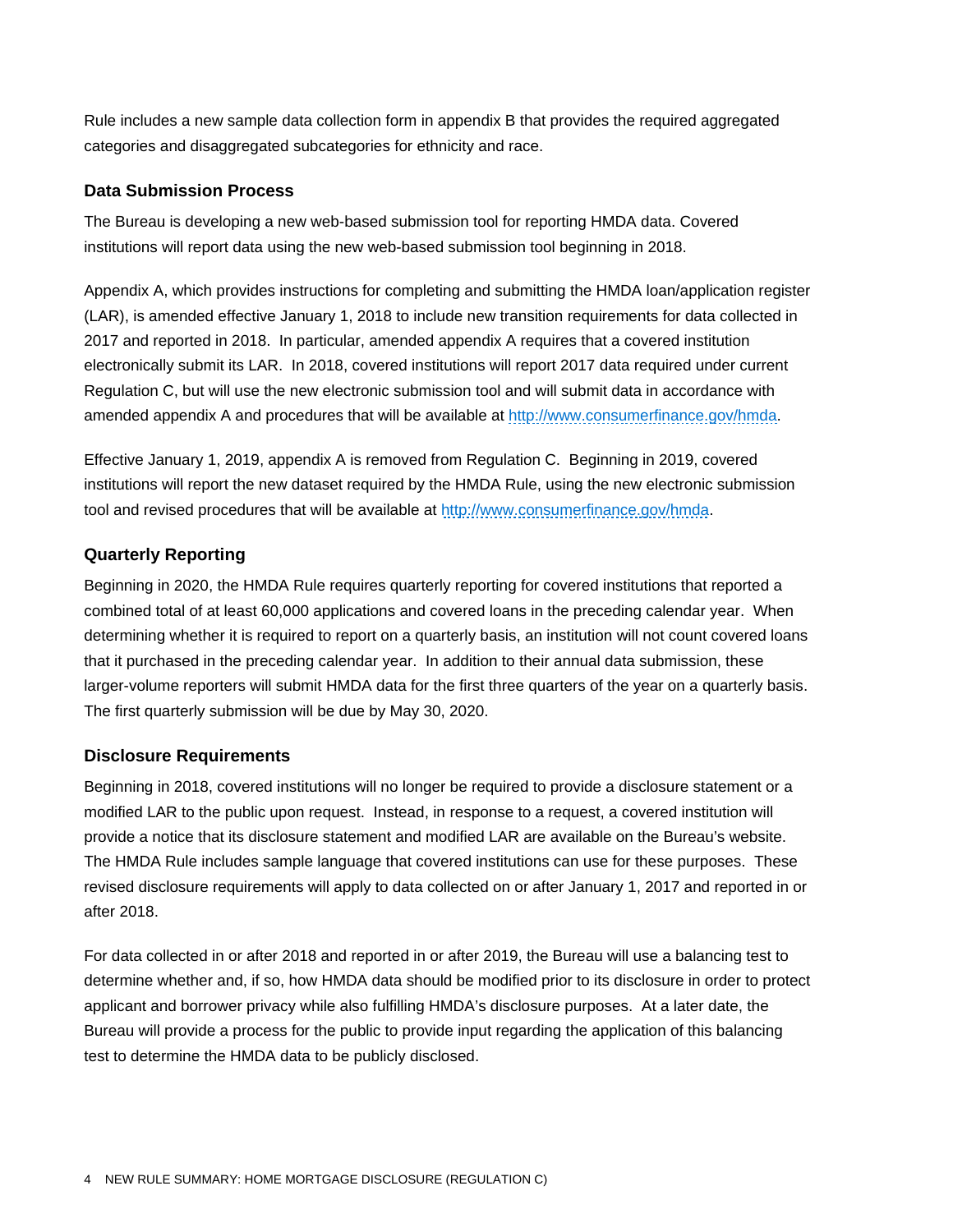Rule includes a new sample data collection form in appendix B that provides the required aggregated categories and disaggregated subcategories for ethnicity and race.

## **Data Submission Process**

The Bureau is developing a new web-based submission tool for reporting HMDA data. Covered institutions will report data using the new web-based submission tool beginning in 2018.

Appendix A, which provides instructions for completing and submitting the HMDA loan/application register (LAR), is amended effective January 1, 2018 to include new transition requirements for data collected in 2017 and reported in 2018. In particular, amended appendix A requires that a covered institution electronically submit its LAR. In 2018, covered institutions will report 2017 data required under current Regulation C, but will use the new electronic submission tool and will submit data in accordance with amended appendix A and procedures that will be available at http://www.consumerfinance.gov/hmda.

Effective January 1, 2019, appendix A is removed from Regulation C. Beginning in 2019, covered institutions will report the new dataset required by the HMDA Rule, using the new electronic submission tool and revised procedures that will be available at http://www.consumerfinance.gov/hmda.

# **Quarterly Reporting**

Beginning in 2020, the HMDA Rule requires quarterly reporting for covered institutions that reported a combined total of at least 60,000 applications and covered loans in the preceding calendar year. When determining whether it is required to report on a quarterly basis, an institution will not count covered loans that it purchased in the preceding calendar year. In addition to their annual data submission, these larger-volume reporters will submit HMDA data for the first three quarters of the year on a quarterly basis. The first quarterly submission will be due by May 30, 2020.

# **Disclosure Requirements**

Beginning in 2018, covered institutions will no longer be required to provide a disclosure statement or a modified LAR to the public upon request. Instead, in response to a request, a covered institution will provide a notice that its disclosure statement and modified LAR are available on the Bureau's website. The HMDA Rule includes sample language that covered institutions can use for these purposes. These revised disclosure requirements will apply to data collected on or after January 1, 2017 and reported in or after 2018.

For data collected in or after 2018 and reported in or after 2019, the Bureau will use a balancing test to determine whether and, if so, how HMDA data should be modified prior to its disclosure in order to protect applicant and borrower privacy while also fulfilling HMDA's disclosure purposes. At a later date, the Bureau will provide a process for the public to provide input regarding the application of this balancing test to determine the HMDA data to be publicly disclosed.